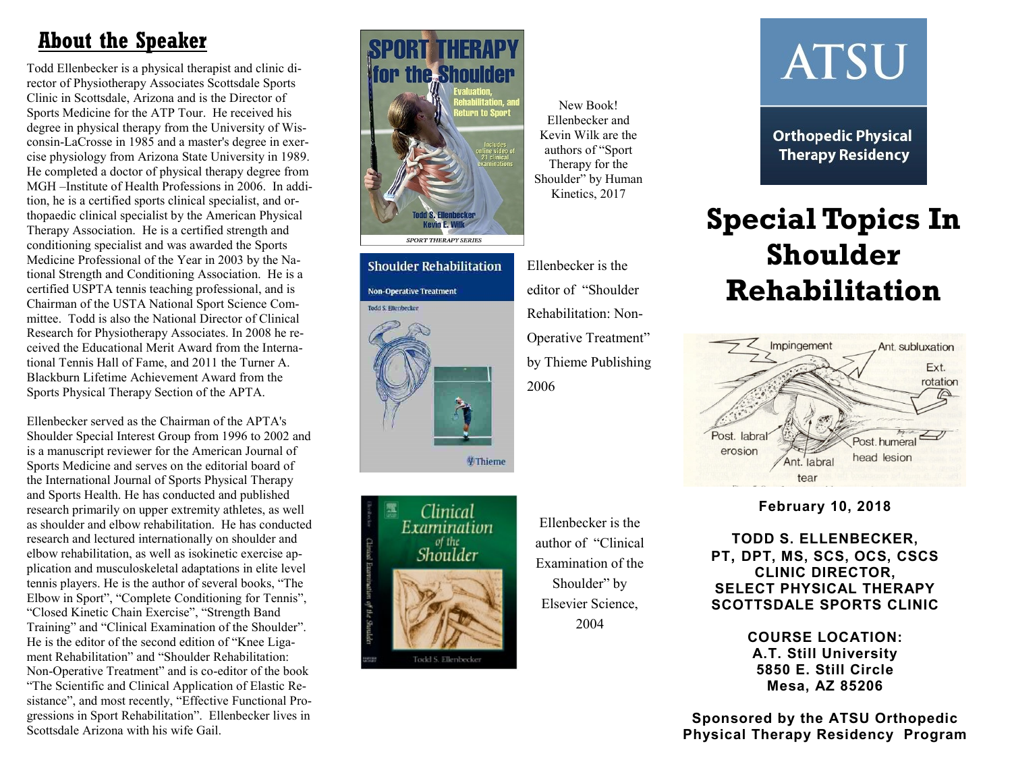# **About the Speaker**:

Todd Ellenbecker is a physical therapist and clinic director of Physiotherapy Associates Scottsdale Sports Clinic in Scottsdale, Arizona and is the Director of Sports Medicine for the ATP Tour. He received his degree in physical therapy from the University of Wisconsin-LaCrosse in 1985 and a master's degree in exercise physiology from Arizona State University in 1989. He completed a doctor of physical therapy degree from MGH –Institute of Health Professions in 2006. In addition, he is a certified sports clinical specialist, and orthopaedic clinical specialist by the American Physical Therapy Association. He is a certified strength and conditioning specialist and was awarded the Sports Medicine Professional of the Year in 2003 by the National Strength and Conditioning Association. He is a certified USPTA tennis teaching professional, and is Chairman of the USTA National Sport Science Committee. Todd is also the National Director of Clinical Research for Physiotherapy Associates. In 2008 he received the Educational Merit Award from the International Tennis Hall of Fame, and 2011 the Turner A. Blackburn Lifetime Achievement Award from the Sports Physical Therapy Section of the APTA.

Ellenbecker served as the Chairman of the APTA's Shoulder Special Interest Group from 1996 to 2002 and is a manuscript reviewer for the American Journal of Sports Medicine and serves on the editorial board of the International Journal of Sports Physical Therapy and Sports Health. He has conducted and published research primarily on upper extremity athletes, as well as shoulder and elbow rehabilitation. He has conducted research and lectured internationally on shoulder and elbow rehabilitation, as well as isokinetic exercise application and musculoskeletal adaptations in elite level tennis players. He is the author of several books, "The Elbow in Sport", "Complete Conditioning for Tennis", "Closed Kinetic Chain Exercise", "Strength Band Training" and "Clinical Examination of the Shoulder". He is the editor of the second edition of "Knee Ligament Rehabilitation" and "Shoulder Rehabilitation: Non -Operative Treatment" and is co -editor of the book "The Scientific and Clinical Application of Elastic Resistance", and most recently, "Effective Functional Progressions in Sport Rehabilitation". Ellenbecker lives in Scottsdale Arizona with his wife Gail.





Clinical Examination Shoulder Todd S. Ellenbecke

Ellenbecker is the author of "Clinical Examination of the Shoulder" by Elsevier Science, 2004

Ellenbecker and Kevin Wilk are the authors of "Sport Therapy for the Shoulder" by Human Kinetics, 2017

New Book!

Ellenbecker is the editor of "Shoulder Rehabilitation: Non - Operative Treatment" by Thieme Publishing 2006

**ATSU** 

**Orthopedic Physical Therapy Residency** 

# **Special Topics In Shoulder Rehabilitation**



**February 10, 2018**

**TODD S. ELLENBECKER, PT, DPT, MS, SCS, OCS, CSCS CLINIC DIRECTOR, SELECT PHYSICAL THERAPY SCOTTSDALE SPORTS CLINIC**

> **COURSE LOCATION: A.T. Still University 5850 E. Still Circle Mesa, AZ 85206**

**Sponsored by the ATSU Orthopedic Physical Therapy Residency Program**